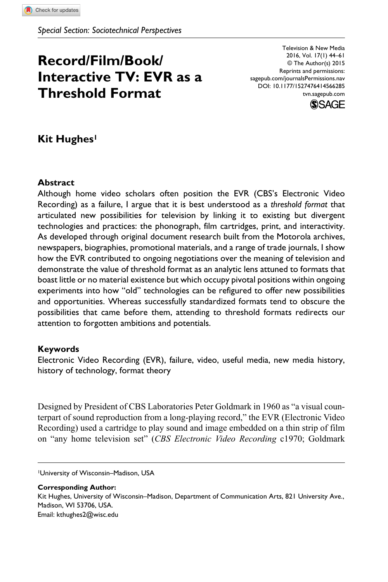# **Record/Film/Book/ Interactive TV: EVR as a Threshold Format**

Television & New Media 2016, Vol. 17(1) 44–61 © The Author(s) 2015 Reprints and permissions: sagepub.com/journalsPermissions.nav DOI: 10.1177/1527476414566285 tvn.sagepub.com



## **Kit Hughes1**

#### **Abstract**

Although home video scholars often position the EVR (CBS's Electronic Video Recording) as a failure, I argue that it is best understood as a *threshold format* that articulated new possibilities for television by linking it to existing but divergent technologies and practices: the phonograph, film cartridges, print, and interactivity. As developed through original document research built from the Motorola archives, newspapers, biographies, promotional materials, and a range of trade journals, I show how the EVR contributed to ongoing negotiations over the meaning of television and demonstrate the value of threshold format as an analytic lens attuned to formats that boast little or no material existence but which occupy pivotal positions within ongoing experiments into how "old" technologies can be refigured to offer new possibilities and opportunities. Whereas successfully standardized formats tend to obscure the possibilities that came before them, attending to threshold formats redirects our attention to forgotten ambitions and potentials.

### **Keywords**

Electronic Video Recording (EVR), failure, video, useful media, new media history, history of technology, format theory

Designed by President of CBS Laboratories Peter Goldmark in 1960 as "a visual counterpart of sound reproduction from a long-playing record," the EVR (Electronic Video Recording) used a cartridge to play sound and image embedded on a thin strip of film on "any home television set" (*CBS Electronic Video Recording* c1970; Goldmark

1University of Wisconsin–Madison, USA

**Corresponding Author:** Kit Hughes, University of Wisconsin–Madison, Department of Communication Arts, 821 University Ave., Madison, WI 53706, USA. Email: [kthughes2@wisc.edu](mailto:kthughes2@wisc.edu)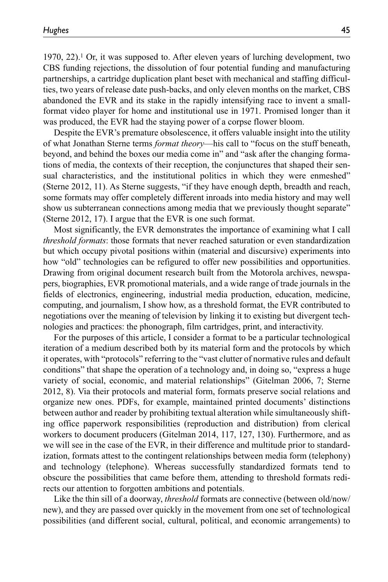$1970$ ,  $22$ ).<sup>1</sup> Or, it was supposed to. After eleven years of lurching development, two CBS funding rejections, the dissolution of four potential funding and manufacturing partnerships, a cartridge duplication plant beset with mechanical and staffing difficulties, two years of release date push-backs, and only eleven months on the market, CBS abandoned the EVR and its stake in the rapidly intensifying race to invent a smallformat video player for home and institutional use in 1971. Promised longer than it was produced, the EVR had the staying power of a corpse flower bloom.

Despite the EVR's premature obsolescence, it offers valuable insight into the utility of what Jonathan Sterne terms *format theory*—his call to "focus on the stuff beneath, beyond, and behind the boxes our media come in" and "ask after the changing formations of media, the contexts of their reception, the conjunctures that shaped their sensual characteristics, and the institutional politics in which they were enmeshed" (Sterne 2012, 11). As Sterne suggests, "if they have enough depth, breadth and reach, some formats may offer completely different inroads into media history and may well show us subterranean connections among media that we previously thought separate" (Sterne 2012, 17). I argue that the EVR is one such format.

Most significantly, the EVR demonstrates the importance of examining what I call *threshold formats*: those formats that never reached saturation or even standardization but which occupy pivotal positions within (material and discursive) experiments into how "old" technologies can be refigured to offer new possibilities and opportunities. Drawing from original document research built from the Motorola archives, newspapers, biographies, EVR promotional materials, and a wide range of trade journals in the fields of electronics, engineering, industrial media production, education, medicine, computing, and journalism, I show how, as a threshold format, the EVR contributed to negotiations over the meaning of television by linking it to existing but divergent technologies and practices: the phonograph, film cartridges, print, and interactivity.

For the purposes of this article, I consider a format to be a particular technological iteration of a medium described both by its material form and the protocols by which it operates, with "protocols" referring to the "vast clutter of normative rules and default conditions" that shape the operation of a technology and, in doing so, "express a huge variety of social, economic, and material relationships" (Gitelman 2006, 7; Sterne 2012, 8). Via their protocols and material form, formats preserve social relations and organize new ones. PDFs, for example, maintained printed documents' distinctions between author and reader by prohibiting textual alteration while simultaneously shifting office paperwork responsibilities (reproduction and distribution) from clerical workers to document producers (Gitelman 2014, 117, 127, 130). Furthermore, and as we will see in the case of the EVR, in their difference and multitude prior to standardization, formats attest to the contingent relationships between media form (telephony) and technology (telephone). Whereas successfully standardized formats tend to obscure the possibilities that came before them, attending to threshold formats redirects our attention to forgotten ambitions and potentials.

Like the thin sill of a doorway, *threshold* formats are connective (between old/now/ new), and they are passed over quickly in the movement from one set of technological possibilities (and different social, cultural, political, and economic arrangements) to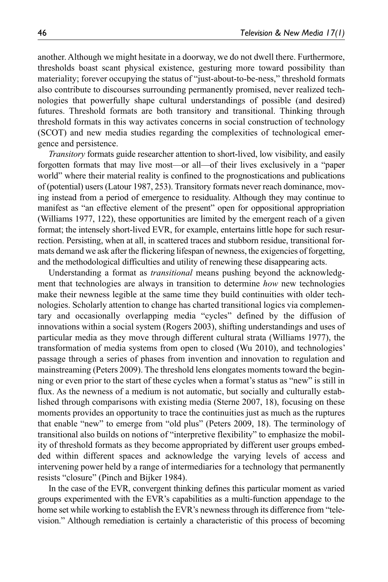another. Although we might hesitate in a doorway, we do not dwell there. Furthermore, thresholds boast scant physical existence, gesturing more toward possibility than materiality; forever occupying the status of "just-about-to-be-ness," threshold formats also contribute to discourses surrounding permanently promised, never realized technologies that powerfully shape cultural understandings of possible (and desired) futures. Threshold formats are both transitory and transitional. Thinking through threshold formats in this way activates concerns in social construction of technology (SCOT) and new media studies regarding the complexities of technological emergence and persistence.

*Transitory* formats guide researcher attention to short-lived, low visibility, and easily forgotten formats that may live most—or all—of their lives exclusively in a "paper world" where their material reality is confined to the prognostications and publications of (potential) users (Latour 1987, 253). Transitory formats never reach dominance, moving instead from a period of emergence to residuality. Although they may continue to manifest as "an effective element of the present" open for oppositional appropriation (Williams 1977, 122), these opportunities are limited by the emergent reach of a given format; the intensely short-lived EVR, for example, entertains little hope for such resurrection. Persisting, when at all, in scattered traces and stubborn residue, transitional formats demand we ask after the flickering lifespan of newness, the exigencies of forgetting, and the methodological difficulties and utility of renewing these disappearing acts.

Understanding a format as *transitional* means pushing beyond the acknowledgment that technologies are always in transition to determine *how* new technologies make their newness legible at the same time they build continuities with older technologies. Scholarly attention to change has charted transitional logics via complementary and occasionally overlapping media "cycles" defined by the diffusion of innovations within a social system (Rogers 2003), shifting understandings and uses of particular media as they move through different cultural strata (Williams 1977), the transformation of media systems from open to closed (Wu 2010), and technologies' passage through a series of phases from invention and innovation to regulation and mainstreaming (Peters 2009). The threshold lens elongates moments toward the beginning or even prior to the start of these cycles when a format's status as "new" is still in flux. As the newness of a medium is not automatic, but socially and culturally established through comparisons with existing media (Sterne 2007, 18), focusing on these moments provides an opportunity to trace the continuities just as much as the ruptures that enable "new" to emerge from "old plus" (Peters 2009, 18). The terminology of transitional also builds on notions of "interpretive flexibility" to emphasize the mobility of threshold formats as they become appropriated by different user groups embedded within different spaces and acknowledge the varying levels of access and intervening power held by a range of intermediaries for a technology that permanently resists "closure" (Pinch and Bijker 1984).

In the case of the EVR, convergent thinking defines this particular moment as varied groups experimented with the EVR's capabilities as a multi-function appendage to the home set while working to establish the EVR's newness through its difference from "television." Although remediation is certainly a characteristic of this process of becoming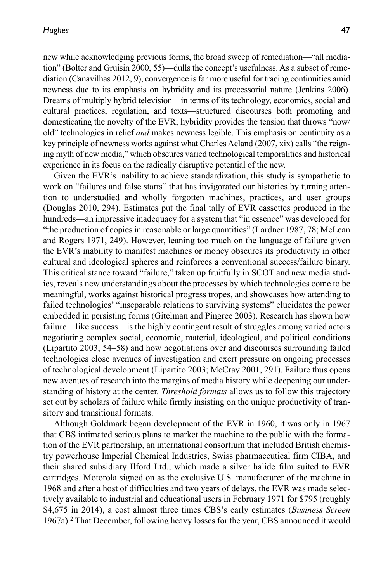new while acknowledging previous forms, the broad sweep of remediation—"all mediation" (Bolter and Gruisin 2000, 55)—dulls the concept's usefulness. As a subset of remediation (Canavilhas 2012, 9), convergence is far more useful for tracing continuities amid newness due to its emphasis on hybridity and its processorial nature (Jenkins 2006). Dreams of multiply hybrid television—in terms of its technology, economics, social and cultural practices, regulation, and texts—structured discourses both promoting and domesticating the novelty of the EVR; hybridity provides the tension that throws "now/ old" technologies in relief *and* makes newness legible. This emphasis on continuity as a key principle of newness works against what Charles Acland (2007, xix) calls "the reigning myth of new media," which obscures varied technological temporalities and historical experience in its focus on the radically disruptive potential of the new.

Given the EVR's inability to achieve standardization, this study is sympathetic to work on "failures and false starts" that has invigorated our histories by turning attention to understudied and wholly forgotten machines, practices, and user groups (Douglas 2010, 294). Estimates put the final tally of EVR cassettes produced in the hundreds—an impressive inadequacy for a system that "in essence" was developed for "the production of copies in reasonable or large quantities" (Lardner 1987, 78; McLean and Rogers 1971, 249). However, leaning too much on the language of failure given the EVR's inability to manifest machines or money obscures its productivity in other cultural and ideological spheres and reinforces a conventional success/failure binary. This critical stance toward "failure," taken up fruitfully in SCOT and new media studies, reveals new understandings about the processes by which technologies come to be meaningful, works against historical progress tropes, and showcases how attending to failed technologies' "inseparable relations to surviving systems" elucidates the power embedded in persisting forms (Gitelman and Pingree 2003). Research has shown how failure—like success—is the highly contingent result of struggles among varied actors negotiating complex social, economic, material, ideological, and political conditions (Lipartito 2003, 54–58) and how negotiations over and discourses surrounding failed technologies close avenues of investigation and exert pressure on ongoing processes of technological development (Lipartito 2003; McCray 2001, 291). Failure thus opens new avenues of research into the margins of media history while deepening our understanding of history at the center. *Threshold formats* allows us to follow this trajectory set out by scholars of failure while firmly insisting on the unique productivity of transitory and transitional formats.

Although Goldmark began development of the EVR in 1960, it was only in 1967 that CBS intimated serious plans to market the machine to the public with the formation of the EVR partnership, an international consortium that included British chemistry powerhouse Imperial Chemical Industries, Swiss pharmaceutical firm CIBA, and their shared subsidiary Ilford Ltd., which made a silver halide film suited to EVR cartridges. Motorola signed on as the exclusive U.S. manufacturer of the machine in 1968 and after a host of difficulties and two years of delays, the EVR was made selectively available to industrial and educational users in February 1971 for \$795 (roughly \$4,675 in 2014), a cost almost three times CBS's early estimates (*Business Screen* 1967a).2 That December, following heavy losses for the year, CBS announced it would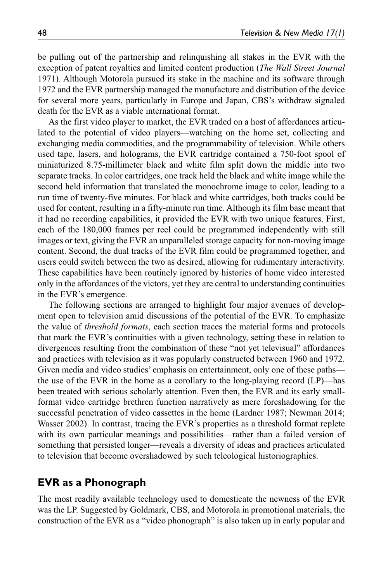be pulling out of the partnership and relinquishing all stakes in the EVR with the exception of patent royalties and limited content production (*The Wall Street Journal* 1971). Although Motorola pursued its stake in the machine and its software through 1972 and the EVR partnership managed the manufacture and distribution of the device for several more years, particularly in Europe and Japan, CBS's withdraw signaled death for the EVR as a viable international format.

As the first video player to market, the EVR traded on a host of affordances articulated to the potential of video players—watching on the home set, collecting and exchanging media commodities, and the programmability of television. While others used tape, lasers, and holograms, the EVR cartridge contained a 750-foot spool of miniaturized 8.75-millimeter black and white film split down the middle into two separate tracks. In color cartridges, one track held the black and white image while the second held information that translated the monochrome image to color, leading to a run time of twenty-five minutes. For black and white cartridges, both tracks could be used for content, resulting in a fifty-minute run time. Although its film base meant that it had no recording capabilities, it provided the EVR with two unique features. First, each of the 180,000 frames per reel could be programmed independently with still images or text, giving the EVR an unparalleled storage capacity for non-moving image content. Second, the dual tracks of the EVR film could be programmed together, and users could switch between the two as desired, allowing for rudimentary interactivity. These capabilities have been routinely ignored by histories of home video interested only in the affordances of the victors, yet they are central to understanding continuities in the EVR's emergence.

The following sections are arranged to highlight four major avenues of development open to television amid discussions of the potential of the EVR. To emphasize the value of *threshold formats*, each section traces the material forms and protocols that mark the EVR's continuities with a given technology, setting these in relation to divergences resulting from the combination of these "not yet televisual" affordances and practices with television as it was popularly constructed between 1960 and 1972. Given media and video studies' emphasis on entertainment, only one of these paths the use of the EVR in the home as a corollary to the long-playing record (LP)—has been treated with serious scholarly attention. Even then, the EVR and its early smallformat video cartridge brethren function narratively as mere foreshadowing for the successful penetration of video cassettes in the home (Lardner 1987; Newman 2014; Wasser 2002). In contrast, tracing the EVR's properties as a threshold format replete with its own particular meanings and possibilities—rather than a failed version of something that persisted longer—reveals a diversity of ideas and practices articulated to television that become overshadowed by such teleological historiographies.

### **EVR as a Phonograph**

The most readily available technology used to domesticate the newness of the EVR was the LP. Suggested by Goldmark, CBS, and Motorola in promotional materials, the construction of the EVR as a "video phonograph" is also taken up in early popular and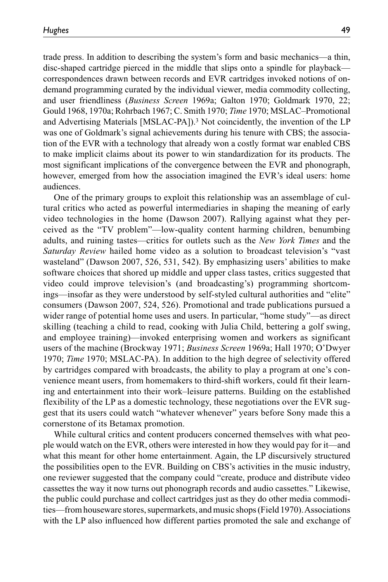trade press. In addition to describing the system's form and basic mechanics—a thin, disc-shaped cartridge pierced in the middle that slips onto a spindle for playback correspondences drawn between records and EVR cartridges invoked notions of ondemand programming curated by the individual viewer, media commodity collecting, and user friendliness (*Business Screen* 1969a; Galton 1970; Goldmark 1970, 22; Gould 1968, 1970a; Rohrbach 1967; C. Smith 1970; *Time* 1970; MSLAC–Promotional and Advertising Materials [MSLAC-PA]).3 Not coincidently, the invention of the LP was one of Goldmark's signal achievements during his tenure with CBS; the association of the EVR with a technology that already won a costly format war enabled CBS to make implicit claims about its power to win standardization for its products. The most significant implications of the convergence between the EVR and phonograph, however, emerged from how the association imagined the EVR's ideal users: home audiences.

One of the primary groups to exploit this relationship was an assemblage of cultural critics who acted as powerful intermediaries in shaping the meaning of early video technologies in the home (Dawson 2007). Rallying against what they perceived as the "TV problem"—low-quality content harming children, benumbing adults, and ruining tastes—critics for outlets such as the *New York Times* and the *Saturday Review* hailed home video as a solution to broadcast television's "vast wasteland" (Dawson 2007, 526, 531, 542). By emphasizing users' abilities to make software choices that shored up middle and upper class tastes, critics suggested that video could improve television's (and broadcasting's) programming shortcomings—insofar as they were understood by self-styled cultural authorities and "elite" consumers (Dawson 2007, 524, 526). Promotional and trade publications pursued a wider range of potential home uses and users. In particular, "home study"—as direct skilling (teaching a child to read, cooking with Julia Child, bettering a golf swing, and employee training)—invoked enterprising women and workers as significant users of the machine (Brockway 1971; *Business Screen* 1969a; Hall 1970; O'Dwyer 1970; *Time* 1970; MSLAC-PA). In addition to the high degree of selectivity offered by cartridges compared with broadcasts, the ability to play a program at one's convenience meant users, from homemakers to third-shift workers, could fit their learning and entertainment into their work–leisure patterns. Building on the established flexibility of the LP as a domestic technology, these negotiations over the EVR suggest that its users could watch "whatever whenever" years before Sony made this a cornerstone of its Betamax promotion.

While cultural critics and content producers concerned themselves with what people would watch on the EVR, others were interested in how they would pay for it—and what this meant for other home entertainment. Again, the LP discursively structured the possibilities open to the EVR. Building on CBS's activities in the music industry, one reviewer suggested that the company could "create, produce and distribute video cassettes the way it now turns out phonograph records and audio cassettes." Likewise, the public could purchase and collect cartridges just as they do other media commodities—from houseware stores, supermarkets, and music shops (Field 1970). Associations with the LP also influenced how different parties promoted the sale and exchange of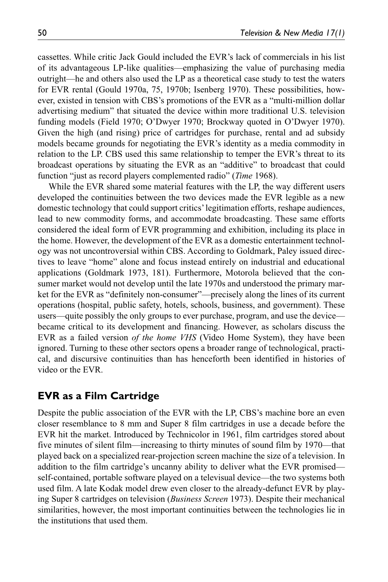cassettes. While critic Jack Gould included the EVR's lack of commercials in his list of its advantageous LP-like qualities—emphasizing the value of purchasing media outright—he and others also used the LP as a theoretical case study to test the waters for EVR rental (Gould 1970a, 75, 1970b; Isenberg 1970). These possibilities, however, existed in tension with CBS's promotions of the EVR as a "multi-million dollar advertising medium" that situated the device within more traditional U.S. television funding models (Field 1970; O'Dwyer 1970; Brockway quoted in O'Dwyer 1970). Given the high (and rising) price of cartridges for purchase, rental and ad subsidy models became grounds for negotiating the EVR's identity as a media commodity in relation to the LP. CBS used this same relationship to temper the EVR's threat to its broadcast operations by situating the EVR as an "additive" to broadcast that could function "just as record players complemented radio" (*Time* 1968).

While the EVR shared some material features with the LP, the way different users developed the continuities between the two devices made the EVR legible as a new domestic technology that could support critics' legitimation efforts, reshape audiences, lead to new commodity forms, and accommodate broadcasting. These same efforts considered the ideal form of EVR programming and exhibition, including its place in the home. However, the development of the EVR as a domestic entertainment technology was not uncontroversial within CBS. According to Goldmark, Paley issued directives to leave "home" alone and focus instead entirely on industrial and educational applications (Goldmark 1973, 181). Furthermore, Motorola believed that the consumer market would not develop until the late 1970s and understood the primary market for the EVR as "definitely non-consumer"—precisely along the lines of its current operations (hospital, public safety, hotels, schools, business, and government). These users—quite possibly the only groups to ever purchase, program, and use the device became critical to its development and financing. However, as scholars discuss the EVR as a failed version *of the home VHS* (Video Home System), they have been ignored. Turning to these other sectors opens a broader range of technological, practical, and discursive continuities than has henceforth been identified in histories of video or the EVR.

### **EVR as a Film Cartridge**

Despite the public association of the EVR with the LP, CBS's machine bore an even closer resemblance to 8 mm and Super 8 film cartridges in use a decade before the EVR hit the market. Introduced by Technicolor in 1961, film cartridges stored about five minutes of silent film—increasing to thirty minutes of sound film by 1970—that played back on a specialized rear-projection screen machine the size of a television. In addition to the film cartridge's uncanny ability to deliver what the EVR promised self-contained, portable software played on a televisual device—the two systems both used film. A late Kodak model drew even closer to the already-defunct EVR by playing Super 8 cartridges on television (*Business Screen* 1973). Despite their mechanical similarities, however, the most important continuities between the technologies lie in the institutions that used them.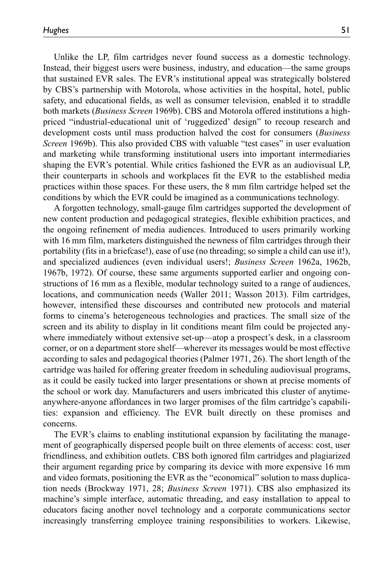Unlike the LP, film cartridges never found success as a domestic technology. Instead, their biggest users were business, industry, and education—the same groups that sustained EVR sales. The EVR's institutional appeal was strategically bolstered by CBS's partnership with Motorola, whose activities in the hospital, hotel, public safety, and educational fields, as well as consumer television, enabled it to straddle both markets (*Business Screen* 1969b). CBS and Motorola offered institutions a highpriced "industrial-educational unit of 'ruggedized' design" to recoup research and development costs until mass production halved the cost for consumers (*Business Screen* 1969b). This also provided CBS with valuable "test cases" in user evaluation and marketing while transforming institutional users into important intermediaries shaping the EVR's potential. While critics fashioned the EVR as an audiovisual LP, their counterparts in schools and workplaces fit the EVR to the established media practices within those spaces. For these users, the 8 mm film cartridge helped set the conditions by which the EVR could be imagined as a communications technology.

A forgotten technology, small-gauge film cartridges supported the development of new content production and pedagogical strategies, flexible exhibition practices, and the ongoing refinement of media audiences. Introduced to users primarily working with 16 mm film, marketers distinguished the newness of film cartridges through their portability (fits in a briefcase!), ease of use (no threading; so simple a child can use it!), and specialized audiences (even individual users!; *Business Screen* 1962a, 1962b, 1967b, 1972). Of course, these same arguments supported earlier and ongoing constructions of 16 mm as a flexible, modular technology suited to a range of audiences, locations, and communication needs (Waller 2011; Wasson 2013). Film cartridges, however, intensified these discourses and contributed new protocols and material forms to cinema's heterogeneous technologies and practices. The small size of the screen and its ability to display in lit conditions meant film could be projected anywhere immediately without extensive set-up—atop a prospect's desk, in a classroom corner, or on a department store shelf—wherever its messages would be most effective according to sales and pedagogical theories (Palmer 1971, 26). The short length of the cartridge was hailed for offering greater freedom in scheduling audiovisual programs, as it could be easily tucked into larger presentations or shown at precise moments of the school or work day. Manufacturers and users imbricated this cluster of anytimeanywhere-anyone affordances in two larger promises of the film cartridge's capabilities: expansion and efficiency. The EVR built directly on these promises and concerns.

The EVR's claims to enabling institutional expansion by facilitating the management of geographically dispersed people built on three elements of access: cost, user friendliness, and exhibition outlets. CBS both ignored film cartridges and plagiarized their argument regarding price by comparing its device with more expensive 16 mm and video formats, positioning the EVR as the "economical" solution to mass duplication needs (Brockway 1971, 28; *Business Screen* 1971). CBS also emphasized its machine's simple interface, automatic threading, and easy installation to appeal to educators facing another novel technology and a corporate communications sector increasingly transferring employee training responsibilities to workers. Likewise,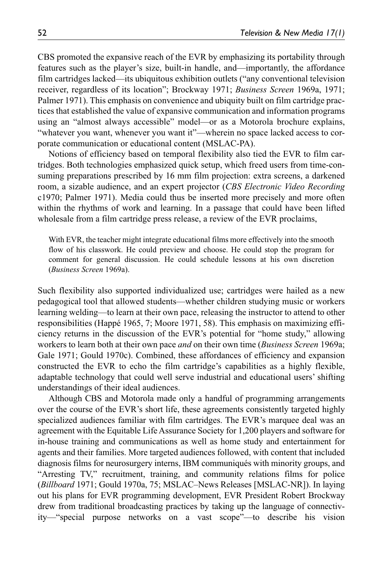CBS promoted the expansive reach of the EVR by emphasizing its portability through features such as the player's size, built-in handle, and—importantly, the affordance film cartridges lacked—its ubiquitous exhibition outlets ("any conventional television receiver, regardless of its location"; Brockway 1971; *Business Screen* 1969a, 1971; Palmer 1971). This emphasis on convenience and ubiquity built on film cartridge practices that established the value of expansive communication and information programs using an "almost always accessible" model—or as a Motorola brochure explains, "whatever you want, whenever you want it"—wherein no space lacked access to corporate communication or educational content (MSLAC-PA).

Notions of efficiency based on temporal flexibility also tied the EVR to film cartridges. Both technologies emphasized quick setup, which freed users from time-consuming preparations prescribed by 16 mm film projection: extra screens, a darkened room, a sizable audience, and an expert projector (*CBS Electronic Video Recording* c1970; Palmer 1971). Media could thus be inserted more precisely and more often within the rhythms of work and learning. In a passage that could have been lifted wholesale from a film cartridge press release, a review of the EVR proclaims,

With EVR, the teacher might integrate educational films more effectively into the smooth flow of his classwork. He could preview and choose. He could stop the program for comment for general discussion. He could schedule lessons at his own discretion (*Business Screen* 1969a).

Such flexibility also supported individualized use; cartridges were hailed as a new pedagogical tool that allowed students—whether children studying music or workers learning welding—to learn at their own pace, releasing the instructor to attend to other responsibilities (Happé 1965, 7; Moore 1971, 58). This emphasis on maximizing efficiency returns in the discussion of the EVR's potential for "home study," allowing workers to learn both at their own pace *and* on their own time (*Business Screen* 1969a; Gale 1971; Gould 1970c). Combined, these affordances of efficiency and expansion constructed the EVR to echo the film cartridge's capabilities as a highly flexible, adaptable technology that could well serve industrial and educational users' shifting understandings of their ideal audiences.

Although CBS and Motorola made only a handful of programming arrangements over the course of the EVR's short life, these agreements consistently targeted highly specialized audiences familiar with film cartridges. The EVR's marquee deal was an agreement with the Equitable Life Assurance Society for 1,200 players and software for in-house training and communications as well as home study and entertainment for agents and their families. More targeted audiences followed, with content that included diagnosis films for neurosurgery interns, IBM communiqués with minority groups, and "Arresting TV," recruitment, training, and community relations films for police (*Billboard* 1971; Gould 1970a, 75; MSLAC–News Releases [MSLAC-NR]). In laying out his plans for EVR programming development, EVR President Robert Brockway drew from traditional broadcasting practices by taking up the language of connectivity—"special purpose networks on a vast scope"—to describe his vision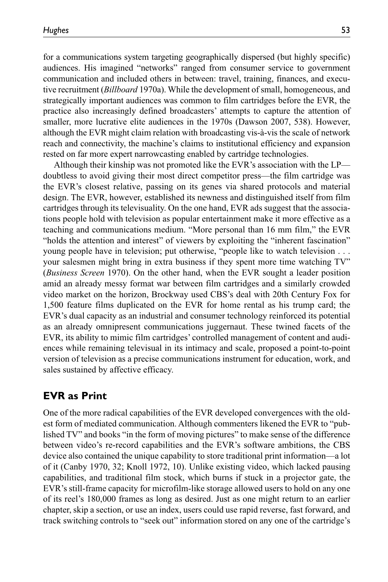for a communications system targeting geographically dispersed (but highly specific) audiences. His imagined "networks" ranged from consumer service to government communication and included others in between: travel, training, finances, and executive recruitment (*Billboard* 1970a). While the development of small, homogeneous, and strategically important audiences was common to film cartridges before the EVR, the practice also increasingly defined broadcasters' attempts to capture the attention of smaller, more lucrative elite audiences in the 1970s (Dawson 2007, 538). However, although the EVR might claim relation with broadcasting vis-à-vis the scale of network reach and connectivity, the machine's claims to institutional efficiency and expansion rested on far more expert narrowcasting enabled by cartridge technologies.

Although their kinship was not promoted like the EVR's association with the LP doubtless to avoid giving their most direct competitor press—the film cartridge was the EVR's closest relative, passing on its genes via shared protocols and material design. The EVR, however, established its newness and distinguished itself from film cartridges through its televisuality. On the one hand, EVR ads suggest that the associations people hold with television as popular entertainment make it more effective as a teaching and communications medium. "More personal than 16 mm film," the EVR "holds the attention and interest" of viewers by exploiting the "inherent fascination" young people have in television; put otherwise, "people like to watch television . . . your salesmen might bring in extra business if they spent more time watching TV" (*Business Screen* 1970). On the other hand, when the EVR sought a leader position amid an already messy format war between film cartridges and a similarly crowded video market on the horizon, Brockway used CBS's deal with 20th Century Fox for 1,500 feature films duplicated on the EVR for home rental as his trump card; the EVR's dual capacity as an industrial and consumer technology reinforced its potential as an already omnipresent communications juggernaut. These twined facets of the EVR, its ability to mimic film cartridges' controlled management of content and audiences while remaining televisual in its intimacy and scale, proposed a point-to-point version of television as a precise communications instrument for education, work, and sales sustained by affective efficacy.

# **EVR as Print**

One of the more radical capabilities of the EVR developed convergences with the oldest form of mediated communication. Although commenters likened the EVR to "published TV" and books "in the form of moving pictures" to make sense of the difference between video's re-record capabilities and the EVR's software ambitions, the CBS device also contained the unique capability to store traditional print information—a lot of it (Canby 1970, 32; Knoll 1972, 10). Unlike existing video, which lacked pausing capabilities, and traditional film stock, which burns if stuck in a projector gate, the EVR's still-frame capacity for microfilm-like storage allowed users to hold on any one of its reel's 180,000 frames as long as desired. Just as one might return to an earlier chapter, skip a section, or use an index, users could use rapid reverse, fast forward, and track switching controls to "seek out" information stored on any one of the cartridge's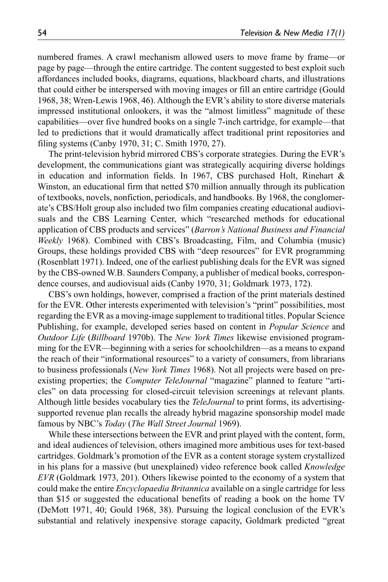numbered frames. A crawl mechanism allowed users to move frame by frame—or page by page—through the entire cartridge. The content suggested to best exploit such affordances included books, diagrams, equations, blackboard charts, and illustrations that could either be interspersed with moving images or fill an entire cartridge (Gould 1968, 38; Wren-Lewis 1968, 46). Although the EVR's ability to store diverse materials impressed institutional onlookers, it was the "almost limitless" magnitude of these capabilities—over five hundred books on a single 7-inch cartridge, for example—that led to predictions that it would dramatically affect traditional print repositories and filing systems (Canby 1970, 31; C. Smith 1970, 27).

The print-television hybrid mirrored CBS's corporate strategies. During the EVR's development, the communications giant was strategically acquiring diverse holdings in education and information fields. In 1967, CBS purchased Holt, Rinehart & Winston, an educational firm that netted \$70 million annually through its publication of textbooks, novels, nonfiction, periodicals, and handbooks. By 1968, the conglomerate's CBS/Holt group also included two film companies creating educational audiovisuals and the CBS Learning Center, which "researched methods for educational application of CBS products and services" (*Barron's National Business and Financial Weekly* 1968). Combined with CBS's Broadcasting, Film, and Columbia (music) Groups, these holdings provided CBS with "deep resources" for EVR programming (Rosenblatt 1971). Indeed, one of the earliest publishing deals for the EVR was signed by the CBS-owned W.B. Saunders Company, a publisher of medical books, correspondence courses, and audiovisual aids (Canby 1970, 31; Goldmark 1973, 172).

CBS's own holdings, however, comprised a fraction of the print materials destined for the EVR. Other interests experimented with television's "print" possibilities, most regarding the EVR as a moving-image supplement to traditional titles. Popular Science Publishing, for example, developed series based on content in *Popular Science* and *Outdoor Life* (*Billboard* 1970b). The *New York Times* likewise envisioned programming for the EVR—beginning with a series for schoolchildren—as a means to expand the reach of their "informational resources" to a variety of consumers, from librarians to business professionals (*New York Times* 1968). Not all projects were based on preexisting properties; the *Computer TeleJournal* "magazine" planned to feature "articles" on data processing for closed-circuit television screenings at relevant plants. Although little besides vocabulary ties the *TeleJournal* to print forms, its advertisingsupported revenue plan recalls the already hybrid magazine sponsorship model made famous by NBC's *Today* (*The Wall Street Journal* 1969).

While these intersections between the EVR and print played with the content, form, and ideal audiences of television, others imagined more ambitious uses for text-based cartridges. Goldmark's promotion of the EVR as a content storage system crystallized in his plans for a massive (but unexplained) video reference book called *Knowledge EVR* (Goldmark 1973, 201). Others likewise pointed to the economy of a system that could make the entire *Encyclopaedia Britannica* available on a single cartridge for less than \$15 or suggested the educational benefits of reading a book on the home TV (DeMott 1971, 40; Gould 1968, 38). Pursuing the logical conclusion of the EVR's substantial and relatively inexpensive storage capacity, Goldmark predicted "great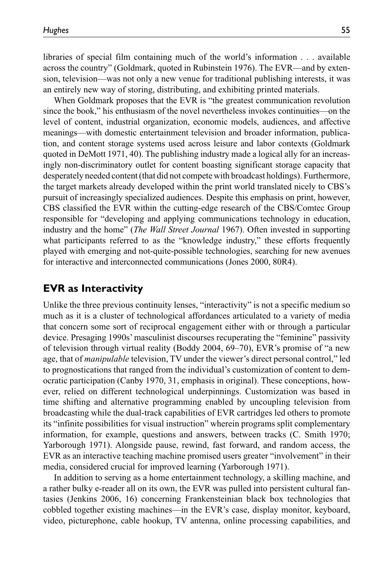libraries of special film containing much of the world's information . . . available across the country" (Goldmark, quoted in Rubinstein 1976). The EVR—and by extension, television—was not only a new venue for traditional publishing interests, it was an entirely new way of storing, distributing, and exhibiting printed materials.

When Goldmark proposes that the EVR is "the greatest communication revolution since the book," his enthusiasm of the novel nevertheless invokes continuities—on the level of content, industrial organization, economic models, audiences, and affective meanings—with domestic entertainment television and broader information, publication, and content storage systems used across leisure and labor contexts (Goldmark quoted in DeMott 1971, 40). The publishing industry made a logical ally for an increasingly non-discriminatory outlet for content boasting significant storage capacity that desperately needed content (that did not compete with broadcast holdings). Furthermore, the target markets already developed within the print world translated nicely to CBS's pursuit of increasingly specialized audiences. Despite this emphasis on print, however, CBS classified the EVR within the cutting-edge research of the CBS/Comtec Group responsible for "developing and applying communications technology in education, industry and the home" (*The Wall Street Journal* 1967). Often invested in supporting what participants referred to as the "knowledge industry," these efforts frequently played with emerging and not-quite-possible technologies, searching for new avenues for interactive and interconnected communications (Jones 2000, 80R4).

### **EVR as Interactivity**

Unlike the three previous continuity lenses, "interactivity" is not a specific medium so much as it is a cluster of technological affordances articulated to a variety of media that concern some sort of reciprocal engagement either with or through a particular device. Presaging 1990s' masculinist discourses recuperating the "feminine" passivity of television through virtual reality (Boddy 2004, 69–70), EVR's promise of "a new age, that of *manipulable* television, TV under the viewer's direct personal control," led to prognostications that ranged from the individual's customization of content to democratic participation (Canby 1970, 31, emphasis in original). These conceptions, however, relied on different technological underpinnings. Customization was based in time shifting and alternative programming enabled by uncoupling television from broadcasting while the dual-track capabilities of EVR cartridges led others to promote its "infinite possibilities for visual instruction" wherein programs split complementary information, for example, questions and answers, between tracks (C. Smith 1970; Yarborough 1971). Alongside pause, rewind, fast forward, and random access, the EVR as an interactive teaching machine promised users greater "involvement" in their media, considered crucial for improved learning (Yarborough 1971).

In addition to serving as a home entertainment technology, a skilling machine, and a rather bulky e-reader all on its own, the EVR was pulled into persistent cultural fantasies (Jenkins 2006, 16) concerning Frankensteinian black box technologies that cobbled together existing machines—in the EVR's case, display monitor, keyboard, video, picturephone, cable hookup, TV antenna, online processing capabilities, and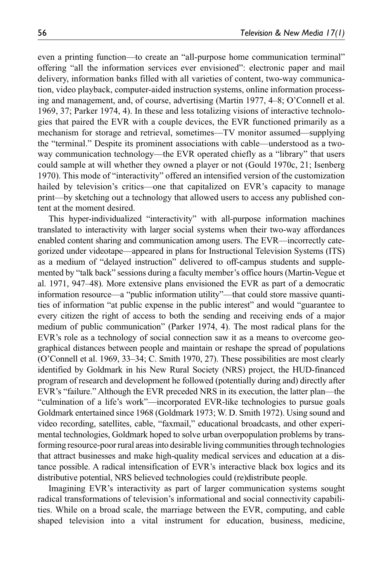even a printing function—to create an "all-purpose home communication terminal" offering "all the information services ever envisioned": electronic paper and mail delivery, information banks filled with all varieties of content, two-way communication, video playback, computer-aided instruction systems, online information processing and management, and, of course, advertising (Martin 1977, 4–8; O'Connell et al. 1969, 37; Parker 1974, 4). In these and less totalizing visions of interactive technologies that paired the EVR with a couple devices, the EVR functioned primarily as a mechanism for storage and retrieval, sometimes—TV monitor assumed—supplying the "terminal." Despite its prominent associations with cable—understood as a twoway communication technology—the EVR operated chiefly as a "library" that users could sample at will whether they owned a player or not (Gould 1970c, 21; Isenberg 1970). This mode of "interactivity" offered an intensified version of the customization hailed by television's critics—one that capitalized on EVR's capacity to manage print—by sketching out a technology that allowed users to access any published content at the moment desired.

This hyper-individualized "interactivity" with all-purpose information machines translated to interactivity with larger social systems when their two-way affordances enabled content sharing and communication among users. The EVR—incorrectly categorized under videotape—appeared in plans for Instructional Television Systems (ITS) as a medium of "delayed instruction" delivered to off-campus students and supplemented by "talk back" sessions during a faculty member's office hours (Martin-Vegue et al. 1971, 947–48). More extensive plans envisioned the EVR as part of a democratic information resource—a "public information utility"—that could store massive quantities of information "at public expense in the public interest" and would "guarantee to every citizen the right of access to both the sending and receiving ends of a major medium of public communication" (Parker 1974, 4). The most radical plans for the EVR's role as a technology of social connection saw it as a means to overcome geographical distances between people and maintain or reshape the spread of populations (O'Connell et al. 1969, 33–34; C. Smith 1970, 27). These possibilities are most clearly identified by Goldmark in his New Rural Society (NRS) project, the HUD-financed program of research and development he followed (potentially during and) directly after EVR's "failure." Although the EVR preceded NRS in its execution, the latter plan—the "culmination of a life's work"—incorporated EVR-like technologies to pursue goals Goldmark entertained since 1968 (Goldmark 1973; W. D. Smith 1972). Using sound and video recording, satellites, cable, "faxmail," educational broadcasts, and other experimental technologies, Goldmark hoped to solve urban overpopulation problems by transforming resource-poor rural areas into desirable living communities through technologies that attract businesses and make high-quality medical services and education at a distance possible. A radical intensification of EVR's interactive black box logics and its distributive potential, NRS believed technologies could (re)distribute people.

Imagining EVR's interactivity as part of larger communication systems sought radical transformations of television's informational and social connectivity capabilities. While on a broad scale, the marriage between the EVR, computing, and cable shaped television into a vital instrument for education, business, medicine,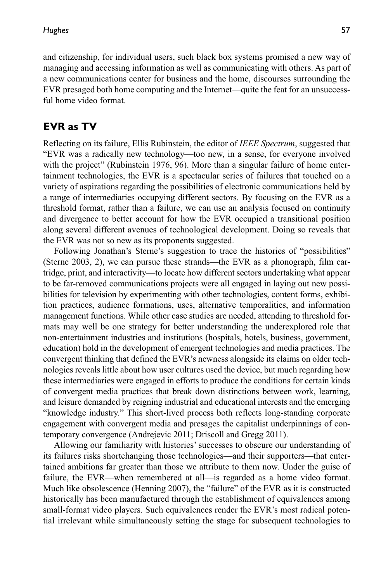and citizenship, for individual users, such black box systems promised a new way of managing and accessing information as well as communicating with others. As part of a new communications center for business and the home, discourses surrounding the EVR presaged both home computing and the Internet—quite the feat for an unsuccessful home video format.

### **EVR as TV**

Reflecting on its failure, Ellis Rubinstein, the editor of *IEEE Spectrum*, suggested that "EVR was a radically new technology—too new, in a sense, for everyone involved with the project" (Rubinstein 1976, 96). More than a singular failure of home entertainment technologies, the EVR is a spectacular series of failures that touched on a variety of aspirations regarding the possibilities of electronic communications held by a range of intermediaries occupying different sectors. By focusing on the EVR as a threshold format, rather than a failure, we can use an analysis focused on continuity and divergence to better account for how the EVR occupied a transitional position along several different avenues of technological development. Doing so reveals that the EVR was not so new as its proponents suggested.

Following Jonathan's Sterne's suggestion to trace the histories of "possibilities" (Sterne 2003, 2), we can pursue these strands—the EVR as a phonograph, film cartridge, print, and interactivity—to locate how different sectors undertaking what appear to be far-removed communications projects were all engaged in laying out new possibilities for television by experimenting with other technologies, content forms, exhibition practices, audience formations, uses, alternative temporalities, and information management functions. While other case studies are needed, attending to threshold formats may well be one strategy for better understanding the underexplored role that non-entertainment industries and institutions (hospitals, hotels, business, government, education) hold in the development of emergent technologies and media practices. The convergent thinking that defined the EVR's newness alongside its claims on older technologies reveals little about how user cultures used the device, but much regarding how these intermediaries were engaged in efforts to produce the conditions for certain kinds of convergent media practices that break down distinctions between work, learning, and leisure demanded by reigning industrial and educational interests and the emerging "knowledge industry." This short-lived process both reflects long-standing corporate engagement with convergent media and presages the capitalist underpinnings of contemporary convergence (Andrejevic 2011; Driscoll and Gregg 2011).

Allowing our familiarity with histories' successes to obscure our understanding of its failures risks shortchanging those technologies—and their supporters—that entertained ambitions far greater than those we attribute to them now. Under the guise of failure, the EVR—when remembered at all—is regarded as a home video format. Much like obsolescence (Henning 2007), the "failure" of the EVR as it is constructed historically has been manufactured through the establishment of equivalences among small-format video players. Such equivalences render the EVR's most radical potential irrelevant while simultaneously setting the stage for subsequent technologies to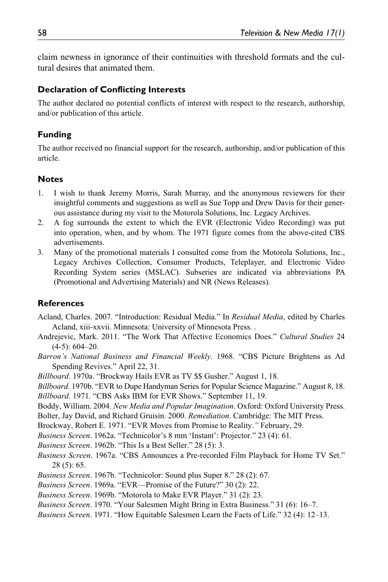claim newness in ignorance of their continuities with threshold formats and the cultural desires that animated them.

#### **Declaration of Conflicting Interests**

The author declared no potential conflicts of interest with respect to the research, authorship, and/or publication of this article.

### **Funding**

The author received no financial support for the research, authorship, and/or publication of this article.

### **Notes**

- 1. I wish to thank Jeremy Morris, Sarah Murray, and the anonymous reviewers for their insightful comments and suggestions as well as Sue Topp and Drew Davis for their generous assistance during my visit to the Motorola Solutions, Inc. Legacy Archives.
- 2. A fog surrounds the extent to which the EVR (Electronic Video Recording) was put into operation, when, and by whom. The 1971 figure comes from the above-cited CBS advertisements.
- 3. Many of the promotional materials I consulted come from the Motorola Solutions, Inc., Legacy Archives Collection, Consumer Products, Teleplayer, and Electronic Video Recording System series (MSLAC). Subseries are indicated via abbreviations PA (Promotional and Advertising Materials) and NR (News Releases).

### **References**

- Acland, Charles. 2007. "Introduction: Residual Media." In *Residual Media*, edited by Charles Acland, xiii-xxvii. Minnesota: University of Minnesota Press. .
- Andrejevic, Mark. 2011. "The Work That Affective Economics Does." *Cultural Studies* 24  $(4-5)$ : 604–20.
- *Barron's National Business and Financial Weekly*. 1968. "CBS Picture Brightens as Ad Spending Revives." April 22, 31.
- *Billboard*. 1970a. "Brockway Hails EVR as TV \$\$ Gusher." August 1, 18.
- *Billboard*. 1970b. "EVR to Dupe Handyman Series for Popular Science Magazine." August 8, 18. *Billboard*. 1971. "CBS Asks IBM for EVR Shows." September 11, 19.
- Boddy, William. 2004. *New Media and Popular Imagination*. Oxford: Oxford University Press.
- Bolter, Jay David, and Richard Gruisin. 2000. *Remediation*. Cambridge: The MIT Press.
- Brockway, Robert E. 1971. "EVR Moves from Promise to Reality.*"* February, 29.

*Business Screen*. 1962a. "Technicolor's 8 mm 'Instant': Projector." 23 (4): 61.

- *Business Screen*. 1962b. "This Is a Best Seller." 28 (5): 3.
- *Business Screen*. 1967a. "CBS Announces a Pre-recorded Film Playback for Home TV Set." 28 (5): 65.
- *Business Screen*. 1967b. "Technicolor: Sound plus Super 8." 28 (2): 67.
- *Business Screen*. 1969a. "EVR—Promise of the Future?" 30 (2): 22.
- *Business Screen*. 1969b. "Motorola to Make EVR Player." 31 (2): 23.
- *Business Screen*. 1970. "Your Salesmen Might Bring in Extra Business." 31 (6): 16–7.
- *Business Screen*. 1971. "How Equitable Salesmen Learn the Facts of Life." 32 (4): 12–13.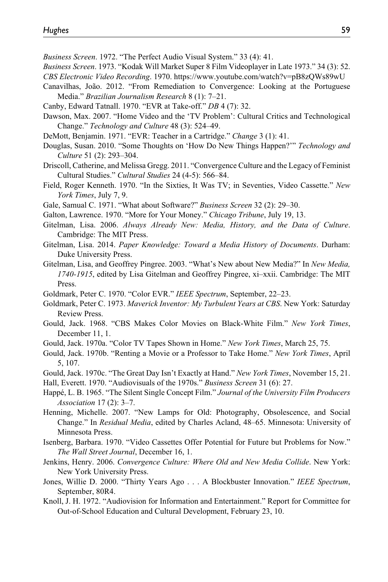*Business Screen*. 1972. "The Perfect Audio Visual System." 33 (4): 41.

- *Business Screen*. 1973. "Kodak Will Market Super 8 Film Videoplayer in Late 1973." 34 (3): 52. *CBS Electronic Video Recording*. 1970. <https://www.youtube.com/watch?v=pB8zQWs89wU>
- Canavilhas, João. 2012. "From Remediation to Convergence: Looking at the Portuguese Media." *Brazilian Journalism Research* 8 (1): 7–21.
- Canby, Edward Tatnall. 1970. "EVR at Take-off." *DB* 4 (7): 32.
- Dawson, Max. 2007. "Home Video and the 'TV Problem': Cultural Critics and Technological Change." *Technology and Culture* 48 (3): 524–49.
- DeMott, Benjamin. 1971. "EVR: Teacher in a Cartridge." *Change* 3 (1): 41.
- Douglas, Susan. 2010. "Some Thoughts on 'How Do New Things Happen?'" *Technology and Culture* 51 (2): 293–304.
- Driscoll, Catherine, and Melissa Gregg. 2011. "Convergence Culture and the Legacy of Feminist Cultural Studies." *Cultural Studies* 24 (4-5): 566–84.
- Field, Roger Kenneth. 1970. "In the Sixties, It Was TV; in Seventies, Video Cassette." *New York Times*, July 7, 9.
- Gale, Samual C. 1971. "What about Software?" *Business Screen* 32 (2): 29–30.
- Galton, Lawrence. 1970. "More for Your Money." *Chicago Tribune*, July 19, 13.
- Gitelman, Lisa. 2006. *Always Already New: Media, History, and the Data of Culture*. Cambridge: The MIT Press.
- Gitelman, Lisa. 2014. *Paper Knowledge: Toward a Media History of Documents*. Durham: Duke University Press.
- Gitelman, Lisa, and Geoffrey Pingree. 2003. "What's New about New Media?" In *New Media, 1740-1915*, edited by Lisa Gitelman and Geoffrey Pingree, xi–xxii. Cambridge: The MIT Press.
- Goldmark, Peter C. 1970. "Color EVR." *IEEE Spectrum*, September, 22–23.
- Goldmark, Peter C. 1973. *Maverick Inventor: My Turbulent Years at CBS*. New York: Saturday Review Press.
- Gould, Jack. 1968. "CBS Makes Color Movies on Black-White Film." *New York Times*, December 11, 1.
- Gould, Jack. 1970a. "Color TV Tapes Shown in Home." *New York Times*, March 25, 75.
- Gould, Jack. 1970b. "Renting a Movie or a Professor to Take Home." *New York Times*, April 5, 107.
- Gould, Jack. 1970c. "The Great Day Isn't Exactly at Hand." *New York Times*, November 15, 21.
- Hall, Everett. 1970. "Audiovisuals of the 1970s." *Business Screen* 31 (6): 27.
- Happé, L. B. 1965. "The Silent Single Concept Film." *Journal of the University Film Producers Association* 17 (2): 3–7.
- Henning, Michelle. 2007. "New Lamps for Old: Photography, Obsolescence, and Social Change." In *Residual Media*, edited by Charles Acland, 48–65. Minnesota: University of Minnesota Press.
- Isenberg, Barbara. 1970. "Video Cassettes Offer Potential for Future but Problems for Now." *The Wall Street Journal*, December 16, 1.
- Jenkins, Henry. 2006. *Convergence Culture: Where Old and New Media Collide*. New York: New York University Press.
- Jones, Willie D. 2000. "Thirty Years Ago . . . A Blockbuster Innovation." *IEEE Spectrum*, September, 80R4.
- Knoll, J. H. 1972. "Audiovision for Information and Entertainment." Report for Committee for Out-of-School Education and Cultural Development, February 23, 10.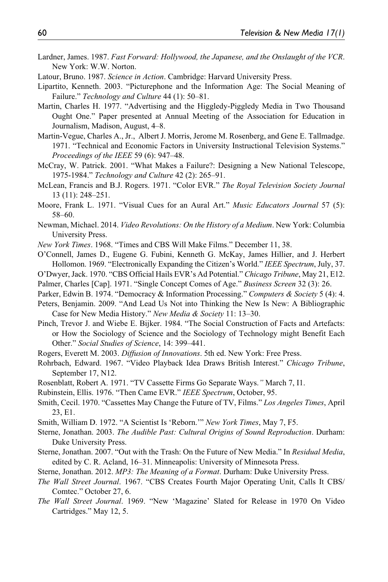- Lardner, James. 1987. *Fast Forward: Hollywood, the Japanese, and the Onslaught of the VCR*. New York: W.W. Norton.
- Latour, Bruno. 1987. *Science in Action*. Cambridge: Harvard University Press.
- Lipartito, Kenneth. 2003. "Picturephone and the Information Age: The Social Meaning of Failure." *Technology and Culture* 44 (1): 50–81.
- Martin, Charles H. 1977. "Advertising and the Higgledy-Piggledy Media in Two Thousand Ought One." Paper presented at Annual Meeting of the Association for Education in Journalism, Madison, August, 4–8.
- Martin-Vegue, Charles A., Jr., Albert J. Morris, Jerome M. Rosenberg, and Gene E. Tallmadge. 1971. "Technical and Economic Factors in University Instructional Television Systems." *Proceedings of the IEEE* 59 (6): 947–48.
- McCray, W. Patrick. 2001. "What Makes a Failure?: Designing a New National Telescope, 1975-1984." *Technology and Culture* 42 (2): 265–91.
- McLean, Francis and B.J. Rogers. 1971. "Color EVR." *The Royal Television Society Journal* 13 (11): 248–251.
- Moore, Frank L. 1971. "Visual Cues for an Aural Art." *Music Educators Journal* 57 (5): 58–60.
- Newman, Michael. 2014. *Video Revolutions: On the History of a Medium*. New York: Columbia University Press.
- *New York Times*. 1968. "Times and CBS Will Make Films." December 11, 38.
- O'Connell, James D., Eugene G. Fubini, Kenneth G. McKay, James Hillier, and J. Herbert Hollomon. 1969. "Electronically Expanding the Citizen's World." *IEEE Spectrum*, July, 37.
- O'Dwyer, Jack. 1970. "CBS Official Hails EVR's Ad Potential." *Chicago Tribune*, May 21, E12.
- Palmer, Charles [Cap]. 1971. "Single Concept Comes of Age." *Business Screen* 32 (3): 26.
- Parker, Edwin B. 1974. "Democracy & Information Processing." *Computers & Society* 5 (4): 4.
- Peters, Benjamin. 2009. "And Lead Us Not into Thinking the New Is New: A Bibliographic Case for New Media History." *New Media & Society* 11: 13–30.
- Pinch, Trevor J. and Wiebe E. Bijker. 1984. "The Social Construction of Facts and Artefacts: or How the Sociology of Science and the Sociology of Technology might Benefit Each Other." *Social Studies of Science*, 14: 399–441.
- Rogers, Everett M. 2003. *Diffusion of Innovations*. 5th ed. New York: Free Press.
- Rohrbach, Edward. 1967. "Video Playback Idea Draws British Interest." *Chicago Tribune*, September 17, N12.
- Rosenblatt, Robert A. 1971. "TV Cassette Firms Go Separate Ways.*"* March 7, I1.
- Rubinstein, Ellis. 1976. "Then Came EVR." *IEEE Spectrum*, October, 95.
- Smith, Cecil. 1970. "Cassettes May Change the Future of TV, Films." *Los Angeles Times*, April 23, E1.
- Smith, William D. 1972. "A Scientist Is 'Reborn.'" *New York Times*, May 7, F5.
- Sterne, Jonathan. 2003. *The Audible Past: Cultural Origins of Sound Reproduction*. Durham: Duke University Press.
- Sterne, Jonathan. 2007. "Out with the Trash: On the Future of New Media." In *Residual Media*, edited by C. R. Acland, 16–31. Minneapolis: University of Minnesota Press.
- Sterne, Jonathan. 2012. *MP3: The Meaning of a Format*. Durham: Duke University Press.
- *The Wall Street Journal*. 1967. "CBS Creates Fourth Major Operating Unit, Calls It CBS/ Comtec." October 27, 6.
- *The Wall Street Journal*. 1969. "New 'Magazine' Slated for Release in 1970 On Video Cartridges." May 12, 5.